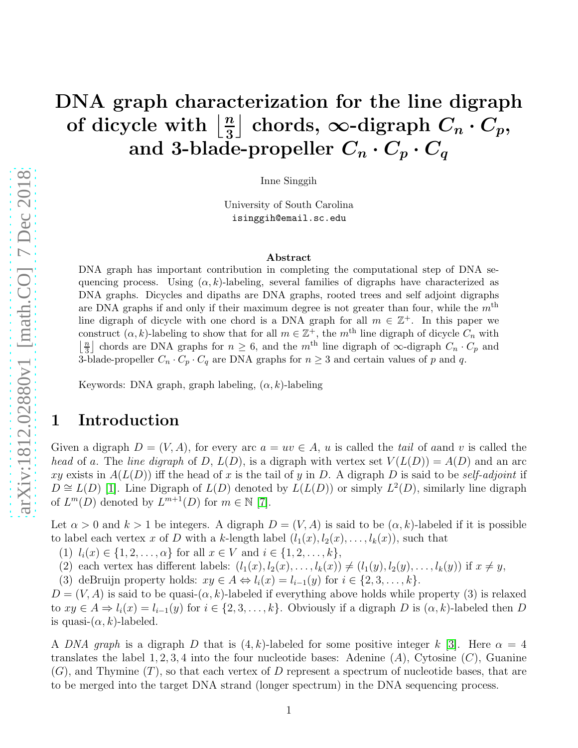### DNA graph characterization for the line digraph of dicycle with  $\frac{n}{3}$ 3 | chords, ∞-digraph  $C_n \cdot C_p$ , and 3-blade-propeller  $C_n \cdot C_p \cdot C_q$

Inne Singgih

University of South Carolina isinggih@email.sc.edu

#### Abstract

DNA graph has important contribution in completing the computational step of DNA sequencing process. Using  $(\alpha, k)$ -labeling, several families of digraphs have characterized as DNA graphs. Dicycles and dipaths are DNA graphs, rooted trees and self adjoint digraphs are DNA graphs if and only if their maximum degree is not greater than four, while the  $m<sup>th</sup>$ line digraph of dicycle with one chord is a DNA graph for all  $m \in \mathbb{Z}^+$ . In this paper we construct  $(\alpha, k)$ -labeling to show that for all  $m \in \mathbb{Z}^+$ , the  $m^{\text{th}}$  line digraph of dicycle  $C_n$  with  $\lfloor \frac{n}{3} \rfloor$  chords are DNA graphs for  $n \geq 6$ , and the m<sup>th</sup> line digraph of  $\infty$ -digraph  $C_n \cdot C_p$  and 3-blade-propeller  $C_n \cdot C_p \cdot C_q$  are DNA graphs for  $n \geq 3$  and certain values of p and q.

Keywords: DNA graph, graph labeling,  $(\alpha, k)$ -labeling

## 1 Introduction

Given a digraph  $D = (V, A)$ , for every arc  $a = uv \in A$ , u is called the tail of a and v is called the head of a. The line digraph of D,  $L(D)$ , is a digraph with vertex set  $V(L(D)) = A(D)$  and an arc xy exists in  $A(L(D))$  iff the head of x is the tail of y in D. A digraph D is said to be self-adjoint if  $D \cong L(D)$  [\[1\]](#page-9-0). Line Digraph of  $L(D)$  denoted by  $L(L(D))$  or simply  $L^2(D)$ , similarly line digraph of  $L^m(D)$  denoted by  $L^{m+1}(D)$  for  $m \in \mathbb{N}$  [\[7\]](#page-9-1).

Let  $\alpha > 0$  and  $k > 1$  be integers. A digraph  $D = (V, A)$  is said to be  $(\alpha, k)$ -labeled if it is possible to label each vertex x of D with a k-length label  $(l_1(x), l_2(x), \ldots, l_k(x))$ , such that

(1)  $l_i(x) \in \{1, 2, ..., \alpha\}$  for all  $x \in V$  and  $i \in \{1, 2, ..., k\},$ 

(2) each vertex has different labels:  $(l_1(x), l_2(x), \ldots, l_k(x)) \neq (l_1(y), l_2(y), \ldots, l_k(y))$  if  $x \neq y$ ,

(3) deBruijn property holds:  $xy \in A \Leftrightarrow l_i(x) = l_{i-1}(y)$  for  $i \in \{2, 3, \ldots, k\}.$ 

 $D = (V, A)$  is said to be quasi- $(\alpha, k)$ -labeled if everything above holds while property (3) is relaxed to  $xy \in A \Rightarrow l_i(x) = l_{i-1}(y)$  for  $i \in \{2, 3, ..., k\}$ . Obviously if a digraph D is  $(\alpha, k)$ -labeled then D is quasi- $(\alpha, k)$ -labeled.

A DNA graph is a digraph D that is  $(4, k)$ -labeled for some positive integer k [\[3\]](#page-9-2). Here  $\alpha = 4$ translates the label 1, 2, 3, 4 into the four nucleotide bases: Adenine  $(A)$ , Cytosine  $(C)$ , Guanine  $(G)$ , and Thymine  $(T)$ , so that each vertex of D represent a spectrum of nucleotide bases, that are to be merged into the target DNA strand (longer spectrum) in the DNA sequencing process.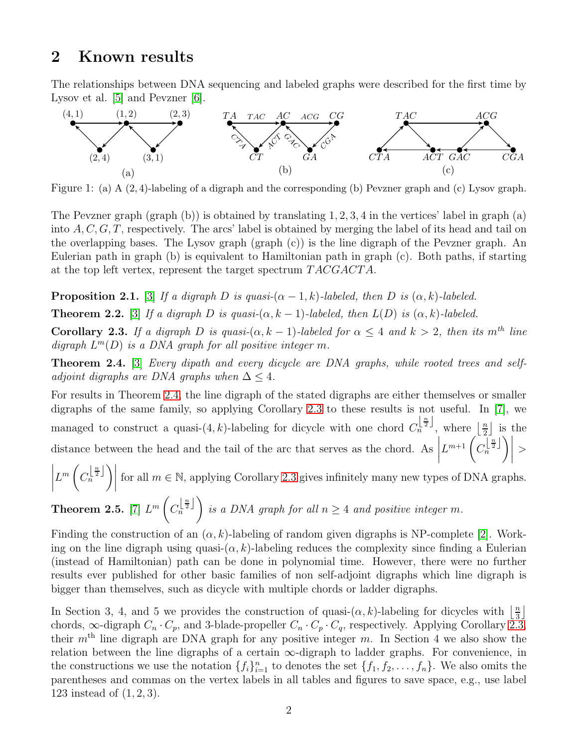## 2 Known results

The relationships between DNA sequencing and labeled graphs were described for the first time by Lysov et al. [\[5\]](#page-9-3) and Pevzner [\[6\]](#page-9-4).



Figure 1: (a) A (2, 4)-labeling of a digraph and the corresponding (b) Pevzner graph and (c) Lysov graph.

The Pevzner graph  $(\text{graph } (b))$  is obtained by translating 1, 2, 3, 4 in the vertices' label in graph  $(a)$ into  $A, C, G, T$ , respectively. The arcs' label is obtained by merging the label of its head and tail on the overlapping bases. The Lysov graph (graph (c)) is the line digraph of the Pevzner graph. An Eulerian path in graph (b) is equivalent to Hamiltonian path in graph (c). Both paths, if starting at the top left vertex, represent the target spectrum  $TACGACTA$ .

**Proposition 2.1.** [\[3\]](#page-9-2) If a digraph D is quasi- $(\alpha - 1, k)$ -labeled, then D is  $(\alpha, k)$ -labeled.

**Theorem 2.2.** [\[3\]](#page-9-2) If a digraph D is quasi- $(\alpha, k - 1)$ -labeled, then  $L(D)$  is  $(\alpha, k)$ -labeled.

<span id="page-1-1"></span>Corollary 2.3. If a digraph D is quasi- $(\alpha, k - 1)$ -labeled for  $\alpha \leq 4$  and  $k > 2$ , then its m<sup>th</sup> line digraph  $L^m(D)$  is a DNA graph for all positive integer m.

<span id="page-1-0"></span>Theorem 2.4. [\[3\]](#page-9-2) Every dipath and every dicycle are DNA graphs, while rooted trees and selfadjoint digraphs are DNA graphs when  $\Delta \leq 4$ .

For results in Theorem [2.4,](#page-1-0) the line digraph of the stated digraphs are either themselves or smaller digraphs of the same family, so applying Corollary [2.3](#page-1-1) to these results is not useful. In [\[7\]](#page-9-1), we managed to construct a quasi- $(4, k)$ -labeling for dicycle with one chord  $C_n^{\left\lfloor \frac{n}{2} \right\rfloor}$ , where  $\lfloor \frac{n}{2} \rfloor$  $\frac{n}{2}$  is the distance between the head and the tail of the arc that serves as the chord. As  $L^{m+1}$   $\left(C_n^{\lfloor \frac{n}{2} \rfloor} \right)$  $\Big)\Big|$  $>$   $\left(\frac{\lfloor \frac{n}{2} \rfloor}{\lfloor \frac{n}{2} \rfloor} \right)$ 

$$
\left| L^m \left( C_n^{\lfloor \frac{n}{2} \rfloor} \right) \right| \text{ for all } m \in \mathbb{N}, \text{ applying Corollary 2.3 gives infinitely many new types of DNA graphs.}
$$

**Theorem 2.5.** [7] 
$$
L^m\left(C_n^{\left\lfloor \frac{n}{2} \right\rfloor}\right)
$$
 is a DNA graph for all  $n \geq 4$  and positive integer m.

Finding the construction of an  $(\alpha, k)$ -labeling of random given digraphs is NP-complete [\[2\]](#page-9-5). Working on the line digraph using quasi- $(\alpha, k)$ -labeling reduces the complexity since finding a Eulerian (instead of Hamiltonian) path can be done in polynomial time. However, there were no further results ever published for other basic families of non self-adjoint digraphs which line digraph is bigger than themselves, such as dicycle with multiple chords or ladder digraphs.

In Section 3, 4, and 5 we provides the construction of quasi- $(\alpha, k)$ -labeling for dicycles with  $\frac{\pi}{3}$  $\frac{n}{3}$ chords,  $\infty$ -digraph  $C_n \cdot C_p$ , and 3-blade-propeller  $C_n \cdot C_p \cdot C_q$ , respectively. Applying Corollary [2.3,](#page-1-1) their  $m<sup>th</sup>$  line digraph are DNA graph for any positive integer m. In Section 4 we also show the relation between the line digraphs of a certain  $\infty$ -digraph to ladder graphs. For convenience, in the constructions we use the notation  $\{f_i\}_{i=1}^n$  to denotes the set  $\{f_1, f_2, \ldots, f_n\}$ . We also omits the parentheses and commas on the vertex labels in all tables and figures to save space, e.g., use label 123 instead of (1, 2, 3).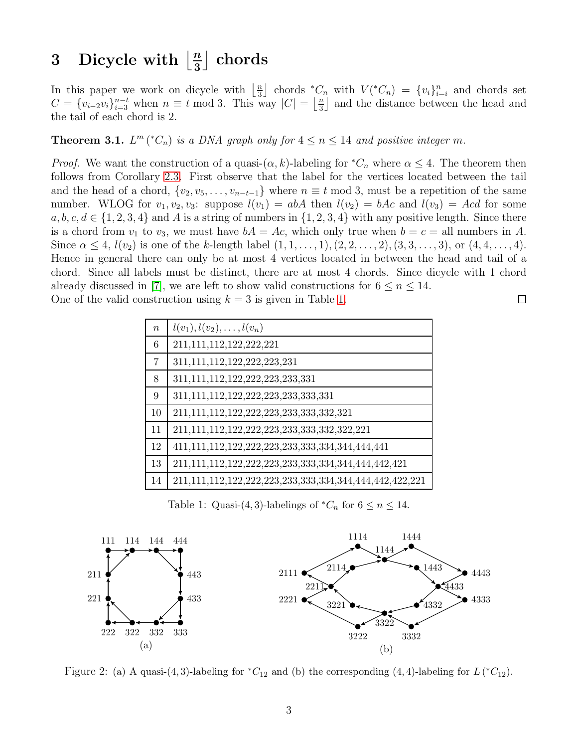#### 3 Dicycle with  $\frac{n}{3}$ 3 | chords

In this paper we work on dicycle with  $\frac{n}{3}$  $\frac{n}{3}$  chords \* $C_n$  with  $V({}^{\ast}C_n) = \{v_i\}_{i=i}^n$  and chords set  $C = \{v_{i-2}v_i\}_{i=3}^{n-t}$  when  $n \equiv t \mod 3$ . This way  $|C| = \left\lfloor \frac{n}{3} \right\rfloor$  $\frac{n}{3}$  and the distance between the head and the tail of each chord is 2.

**Theorem 3.1.**  $L^m$  ( ${}^*C_n$ ) is a DNA graph only for  $4 \le n \le 14$  and positive integer m.

*Proof.* We want the construction of a quasi- $(\alpha, k)$ -labeling for  ${}^*C_n$  where  $\alpha \leq 4$ . The theorem then follows from Corollary [2.3.](#page-1-1) First observe that the label for the vertices located between the tail and the head of a chord,  $\{v_2, v_5, \ldots, v_{n-t-1}\}\$  where  $n \equiv t \mod 3$ , must be a repetition of the same number. WLOG for  $v_1, v_2, v_3$ : suppose  $l(v_1) = abA$  then  $l(v_2) = bAc$  and  $l(v_3) = Acd$  for some  $a, b, c, d \in \{1, 2, 3, 4\}$  and A is a string of numbers in  $\{1, 2, 3, 4\}$  with any positive length. Since there is a chord from  $v_1$  to  $v_3$ , we must have  $bA = Ac$ , which only true when  $b = c = all$  numbers in A. Since  $\alpha \leq 4$ ,  $l(v_2)$  is one of the k-length label  $(1, 1, \ldots, 1), (2, 2, \ldots, 2), (3, 3, \ldots, 3),$  or  $(4, 4, \ldots, 4)$ . Hence in general there can only be at most 4 vertices located in between the head and tail of a chord. Since all labels must be distinct, there are at most 4 chords. Since dicycle with 1 chord already discussed in [\[7\]](#page-9-1), we are left to show valid constructions for  $6 \leq n \leq 14$ . One of the valid construction using  $k = 3$  is given in Table [1.](#page-2-0)  $\Box$ 

<span id="page-2-0"></span>

| $\boldsymbol{n}$ | $l(v_1), l(v_2), \ldots, l(v_n)$                        |
|------------------|---------------------------------------------------------|
| $\,6\,$          | 211, 111, 112, 122, 222, 221                            |
| $\overline{7}$   | 311, 111, 112, 122, 222, 223, 231                       |
| 8                | 311,111,112,122,222,223,233,331                         |
| 9                | 311,111,112,122,222,223,233,333,331                     |
| 10               | 211,111,112,122,222,223,233,333,332,321                 |
| 11               | 211,111,112,122,222,223,233,333,332,322,221             |
| 12               |                                                         |
| 13               | 211,111,112,122,222,223,233,333,334,344,444,442,421     |
| 14               | 211,111,112,122,222,223,233,333,334,344,444,442,422,221 |

Table 1: Quasi-(4, 3)-labelings of  ${}^*C_n$  for  $6 \le n \le 14$ .



Figure 2: (a) A quasi-(4, 3)-labeling for  ${}^*C_{12}$  and (b) the corresponding (4, 4)-labeling for  $L({}^*C_{12})$ .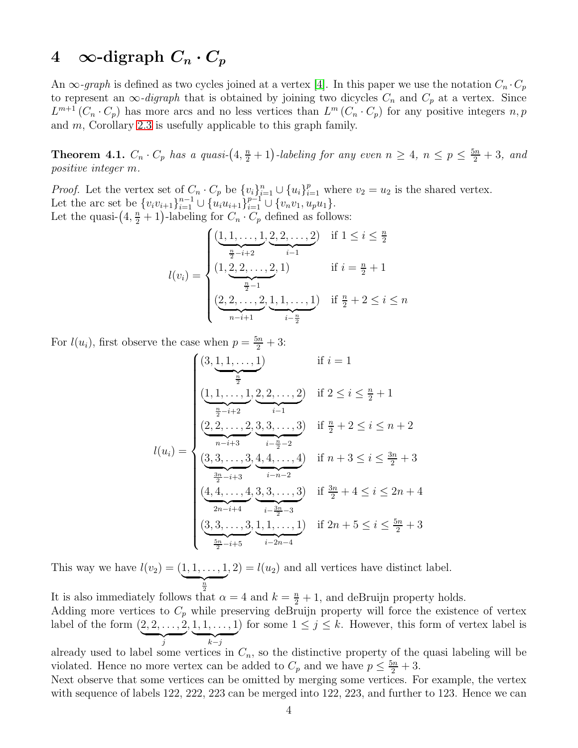## 4 ∞-digraph  $C_n \cdot C_p$

An  $\infty$ -graph is defined as two cycles joined at a vertex [\[4\]](#page-9-6). In this paper we use the notation  $C_n \cdot C_p$ to represent an  $\infty$ -digraph that is obtained by joining two dicycles  $C_n$  and  $C_p$  at a vertex. Since  $L^{m+1}(C_n \cdot C_p)$  has more arcs and no less vertices than  $L^m(C_n \cdot C_p)$  for any positive integers n, p and m, Corollary [2.3](#page-1-1) is usefully applicable to this graph family.

<span id="page-3-0"></span>**Theorem 4.1.**  $C_n \cdot C_p$  has a quasi- $(4, \frac{n}{2} + 1)$ -labeling for any even  $n \geq 4$ ,  $n \leq p \leq \frac{5n}{2} + 3$ , and positive integer m.

*Proof.* Let the vertex set of  $C_n \cdot C_p$  be  $\{v_i\}_{i=1}^n \cup \{u_i\}_{i=1}^p$  where  $v_2 = u_2$  is the shared vertex. Let the arc set be  $\{v_i v_{i+1}\}_{i=1}^{n-1} \cup \{u_i u_{i+1}\}_{i=1}^{p-1} \cup \{v_n v_1, u_p u_1\}.$ Let the quasi- $(4, \frac{n}{2} + 1)$ -labeling for  $C_n \cdot C_p$  defined as follows:

$$
l(v_i) = \begin{cases} \underbrace{(1, 1, \dots, 1)}_{\frac{n}{2} - i + 2}, \underbrace{2, 2, \dots, 2}_{i-1}) & \text{if } 1 \leq i \leq \frac{n}{2} \\ (1, \underbrace{2, 2, \dots, 2}_{\frac{n}{2} - 1}, 1) & \text{if } i = \frac{n}{2} + 1 \\ \underbrace{(2, 2, \dots, 2)}_{n - i + 1}, \underbrace{1, 1, \dots, 1}_{i - \frac{n}{2}}) & \text{if } \frac{n}{2} + 2 \leq i \leq n \end{cases}
$$

For  $l(u_i)$ , first observe the case when  $p = \frac{5n}{2} + 3$ :

$$
l(u_i) = \begin{cases} (3, \underbrace{1, 1, \ldots, 1}_{\frac{n}{2}}) & \text{if } i = 1\\ \underbrace{(1, 1, \ldots, 1)}_{\frac{n}{2} - i + 2}, \underbrace{2, 2, \ldots, 2}_{i - 1}) & \text{if } 2 \le i \le \frac{n}{2} + 1\\ \underbrace{(2, 2, \ldots, 2)}_{n - i + 3}, \underbrace{3, 3, \ldots, 3}_{i - \frac{n}{2} - 2} & \text{if } n + 3 \le i \le \frac{3n}{2} + 3\\ \underbrace{(3, 3, \ldots, 3)}_{\frac{3n}{2} - i + 3}, \underbrace{4, 4, \ldots, 4}_{i - n - 2}, & \text{if } \frac{3n}{2} + 4 \le i \le 2n + 4\\ \underbrace{(4, 4, \ldots, 4)}_{2n - i + 4}, \underbrace{3, 3, \ldots, 3}_{i - \frac{3n}{2} - 3}, & \text{if } 2n + 5 \le i \le \frac{5n}{2} + 3\\ \underbrace{(3, 3, \ldots, 3)}_{\frac{5n}{2} - i + 5}, \underbrace{1, 1, \ldots, 1}_{i - 2n - 4} & \text{if } 2n + 5 \le i \le \frac{5n}{2} + 3 \end{cases}
$$

This way we have  $l(v_2) = (1, 1, ..., 1)$  $\frac{n}{2}$  $, 2) = l(u<sub>2</sub>)$  and all vertices have distinct label.

It is also immediately follows that  $\alpha = 4$  and  $k = \frac{n}{2} + 1$ , and deBruijn property holds.

Adding more vertices to  $C_p$  while preserving deBruijn property will force the existence of vertex label of the form  $(2, 2, \ldots, 2)$  $\overline{y}$  $, 1, 1, \ldots, 1$  $\overline{k-j}$ ) for some  $1 \leq j \leq k$ . However, this form of vertex label is

already used to label some vertices in  $C_n$ , so the distinctive property of the quasi labeling will be violated. Hence no more vertex can be added to  $C_p$  and we have  $p \leq \frac{5n}{2} + 3$ .

Next observe that some vertices can be omitted by merging some vertices. For example, the vertex with sequence of labels 122, 222, 223 can be merged into 122, 223, and further to 123. Hence we can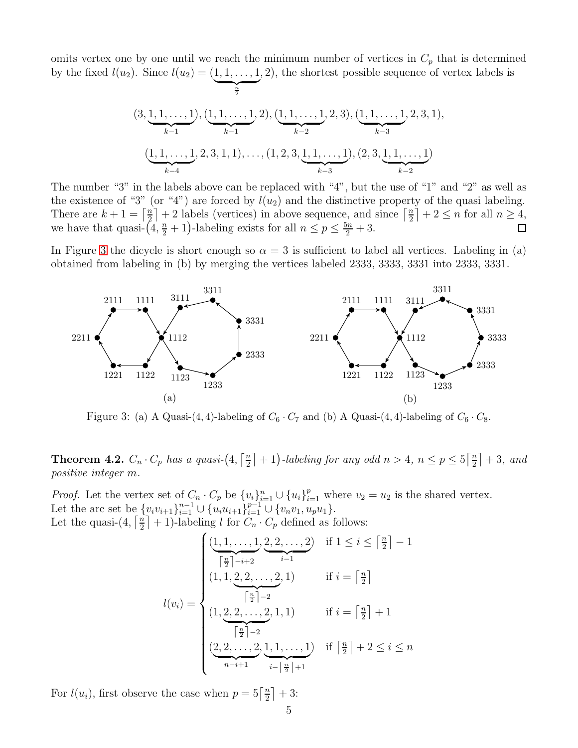omits vertex one by one until we reach the minimum number of vertices in  $C_p$  that is determined by the fixed  $l(u_2)$ . Since  $l(u_2) = (1, 1, ..., 1)$  $\overbrace{\frac{n}{a}}$ n , 2), the shortest possible sequence of vertex labels is

2

$$
(3, \underbrace{1, 1, \ldots, 1}_{k-1}), \underbrace{(1, 1, \ldots, 1)}_{k-1}, 2), \underbrace{(1, 1, \ldots, 1)}_{k-2}, 2, 3), \underbrace{(1, 1, \ldots, 1)}_{k-3}, 2, 3, 1),
$$

$$
(\underbrace{1, 1, \ldots, 1}_{k-4}, 2, 3, 1, 1), \ldots, (1, 2, 3, \underbrace{1, 1, \ldots, 1}_{k-3}), (2, 3, \underbrace{1, 1, \ldots, 1}_{k-2})
$$

The number "3" in the labels above can be replaced with "4", but the use of "1" and "2" as well as the existence of "3" (or "4") are forced by  $l(u_2)$  and the distinctive property of the quasi labeling. There are  $k+1 = \left\lceil \frac{n}{2} \right\rceil$  $\left\lfloor \frac{n}{2} \right\rfloor + 2$  labels (vertices) in above sequence, and since  $\left\lceil \frac{n}{2} \right\rceil$  $\left\lfloor \frac{n}{2} \right\rfloor + 2 \leq n$  for all  $n \geq 4$ , we have that quasi- $(4, \frac{n}{2} + 1)$ -labeling exists for all  $n \le p \le \frac{5n}{2} + 3$ .  $\Box$ 

In Figure [3](#page-4-0) the dicycle is short enough so  $\alpha = 3$  is sufficient to label all vertices. Labeling in (a) obtained from labeling in (b) by merging the vertices labeled 2333, 3333, 3331 into 2333, 3331.

<span id="page-4-0"></span>

Figure 3: (a) A Quasi-(4, 4)-labeling of  $C_6 \cdot C_7$  and (b) A Quasi-(4, 4)-labeling of  $C_6 \cdot C_8$ .

<span id="page-4-1"></span>**Theorem 4.2.**  $C_n \cdot C_p$  has a quasi- $\left(4, \frac{n}{2}\right)$  $\lfloor \frac{n}{2} \rfloor + 1$ )-labeling for any odd  $n > 4$ ,  $n \le p \le 5 \lceil \frac{n}{2} \rceil$  $\frac{n}{2}$  | + 3, and positive integer m.

*Proof.* Let the vertex set of  $C_n \cdot C_p$  be  $\{v_i\}_{i=1}^n \cup \{u_i\}_{i=1}^p$  where  $v_2 = u_2$  is the shared vertex. Let the arc set be  $\{v_i v_{i+1}\}_{i=1}^{n-1} \cup \{u_i u_{i+1}\}_{i=1}^{p-1} \cup \{v_n v_1, u_p u_1\}.$ Let the quasi- $(4, \lceil \frac{n}{2} \rceil)$  $\left\lfloor \frac{n}{2} \right\rfloor + 1$ )-labeling l for  $C_n \cdot C_p$  defined as follows:

$$
l(v_i) = \begin{cases} \frac{(1, 1, \dots, 1, 2, 2, \dots, 2)}{\lceil \frac{n}{2} \rceil - i + 2} & \text{if } 1 \le i \le \lceil \frac{n}{2} \rceil - 1\\ (1, 1, 2, 2, \dots, 2, 1) & \text{if } i = \lceil \frac{n}{2} \rceil\\ (1, 2, 2, \dots, 2, 1, 1) & \text{if } i = \lceil \frac{n}{2} \rceil + 1\\ \frac{\lceil \frac{n}{2} \rceil - 2}{\lceil \frac{n}{2} \rceil - 1} & \text{if } \lceil \frac{n}{2} \rceil + 2 \le i \le n\\ (2, 2, \dots, 2, 1, 1, \dots, 1) & \text{if } \lceil \frac{n}{2} \rceil + 2 \le i \le n \end{cases}
$$

For  $l(u_i)$ , first observe the case when  $p = 5\left[\frac{n}{2}\right]$  $\frac{n}{2}$  | + 3: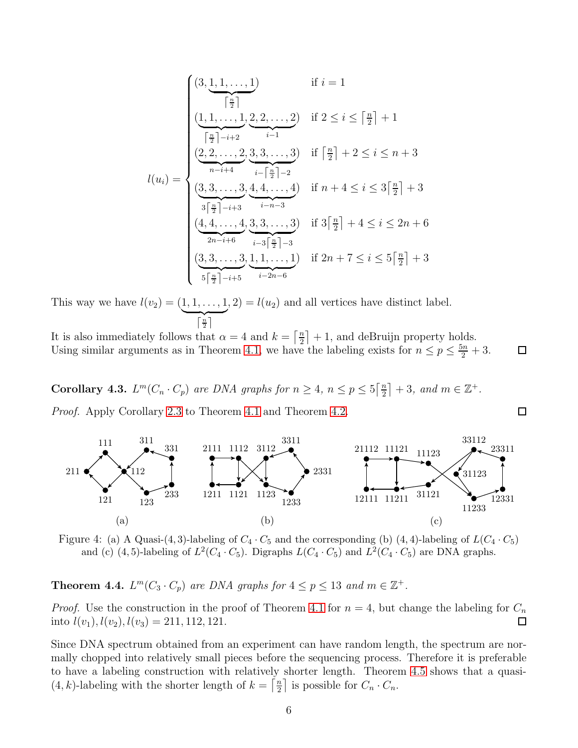$$
l(u_i) = \begin{cases} (3, \underbrace{1, 1, \ldots, 1}_{\left\lceil \frac{n}{2} \right\rceil}) & \text{if } i = 1 \\ \underbrace{(1, 1, \ldots, 1)}_{\left\lceil \frac{n}{2} \right\rceil - i + 2} & \underbrace{(2, 2, \ldots, 2)}_{i-1} & \text{if } 2 \leq i \leq \left\lceil \frac{n}{2} \right\rceil + 1 \\ \underbrace{(2, 2, \ldots, 2)}_{n-i+4} & \underbrace{3, 3, \ldots, 3}_{i-\left\lceil \frac{n}{2} \right\rceil - 2} & \text{if } n + 4 \leq i \leq 3\left\lceil \frac{n}{2} \right\rceil + 3 \\ \underbrace{(3, 3, \ldots, 3)}_{3\left\lceil \frac{n}{2} \right\rceil - i + 3} & \underbrace{(4, 4, \ldots, 4)}_{i-3\left\lceil \frac{n}{2} \right\rceil - 3} & \text{if } 3\left\lceil \frac{n}{2} \right\rceil + 4 \leq i \leq 2n + 6 \\ \underbrace{(3, 3, \ldots, 3)}_{5\left\lceil \frac{n}{2} \right\rceil - i + 5} & \underbrace{i-3\left\lceil \frac{n}{2} \right\rceil - 3} & \text{if } 2n + 7 \leq i \leq 5\left\lceil \frac{n}{2} \right\rceil + 3 \end{cases}
$$

This way we have  $l(v_2) = (1, 1, ..., 1)$  $\boxed{\frac{n}{2}}$  $, 2) = l(u<sub>2</sub>)$  and all vertices have distinct label.

It is also immediately follows that  $\alpha = 4$  and  $k = \left\lceil \frac{n}{2} \right\rceil$  $\frac{n}{2}$  + 1, and deBruijn property holds. Using similar arguments as in Theorem [4.1,](#page-3-0) we have the labeling exists for  $n \le p \le \frac{5n}{2} + 3$ .  $\Box$ 

**Corollary 4.3.**  $L^m(C_n \cdot C_p)$  are DNA graphs for  $n \geq 4$ ,  $n \leq p \leq 5 \left\lceil \frac{n}{2} \right\rceil$  $\left\lfloor \frac{n}{2} \right\rfloor + 3$ , and  $m \in \mathbb{Z}^+$ .

Proof. Apply Corollary [2.3](#page-1-1) to Theorem [4.1](#page-3-0) and Theorem [4.2.](#page-4-1)



 $\Box$ 

Figure 4: (a) A Quasi-(4, 3)-labeling of  $C_4 \cdot C_5$  and the corresponding (b) (4, 4)-labeling of  $L(C_4 \cdot C_5)$ and (c) (4,5)-labeling of  $L^2(C_4 \cdot C_5)$ . Digraphs  $L(C_4 \cdot C_5)$  and  $L^2(C_4 \cdot C_5)$  are DNA graphs.

**Theorem 4.4.**  $L^m(C_3 \cdot C_p)$  are DNA graphs for  $4 \leq p \leq 13$  and  $m \in \mathbb{Z}^+$ .

*Proof.* Use the construction in the proof of Theorem [4.1](#page-3-0) for  $n = 4$ , but change the labeling for  $C_n$ into  $l(v_1)$ ,  $l(v_2)$ ,  $l(v_3) = 211$ , 112, 121.  $\Box$ 

Since DNA spectrum obtained from an experiment can have random length, the spectrum are normally chopped into relatively small pieces before the sequencing process. Therefore it is preferable to have a labeling construction with relatively shorter length. Theorem [4.5](#page-6-0) shows that a quasi-  $(4, k)$ -labeling with the shorter length of  $k = \frac{n}{2}$  $\frac{n}{2}$  is possible for  $C_n \cdot C_n$ .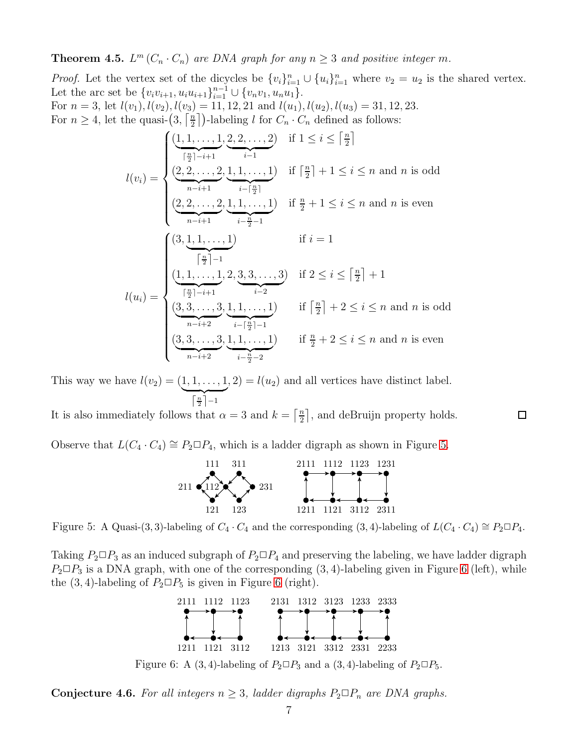<span id="page-6-0"></span>**Theorem 4.5.**  $L^m(C_n \cdot C_n)$  are DNA graph for any  $n \geq 3$  and positive integer m.

*Proof.* Let the vertex set of the dicycles be  $\{v_i\}_{i=1}^n \cup \{u_i\}_{i=1}^n$  where  $v_2 = u_2$  is the shared vertex. Let the arc set be  $\{v_i v_{i+1}, u_i u_{i+1}\}_{i=1}^{n-1} \cup \{v_n v_1, u_n u_1\}.$ For  $n = 3$ , let  $l(v_1)$ ,  $l(v_2)$ ,  $l(v_3) = 11$ , 12, 21 and  $l(u_1)$ ,  $l(u_2)$ ,  $l(u_3) = 31$ , 12, 23. For  $n \geq 4$ , let the quasi- $\left(3, \frac{n}{2}\right)$  $\frac{n}{2}$ )-labeling l for  $C_n \cdot C_n$  defined as follows:

$$
l(v_i) = \begin{cases} \underbrace{(1,1,\ldots,1)}_{\substack{\lceil \frac{n}{2} \rceil - i + 1}} \underbrace{(2,2,\ldots,2)}_{i-1}, \underbrace{1,1,\ldots,1}_{i-[\frac{n}{2}]}) & \text{if } \lceil \frac{n}{2} \rceil + 1 \leq i \leq n \text{ and } n \text{ is odd} \\ \underbrace{(2,2,\ldots,2)}_{n-i+1}, \underbrace{1,1,\ldots,1}_{i-\frac{n}{2}-1} & \text{if } \frac{n}{2} + 1 \leq i \leq n \text{ and } n \text{ is even} \\ \underbrace{(3,\underbrace{1,1,\ldots,1}_{i-\frac{n}{2}})}_{\substack{\lceil \frac{n}{2} \rceil - 1 \\ \lceil \frac{n}{2} \rceil - i}} & \text{if } i = 1 \\ \underbrace{(1,1,\ldots,1)}_{\substack{\lceil \frac{n}{2} \rceil - i + 1 \\ i-2}} & \underbrace{\frac{(3,3,\ldots,3)}_{i-2}, \underbrace{1,1,\ldots,1}_{i-2}}_{\substack{\lceil \frac{n}{2} \rceil - i + 1 \\ i-[\frac{n}{2}] - 1}} & \text{if } \lceil \frac{n}{2} \rceil + 2 \leq i \leq n \text{ and } n \text{ is odd} \\ \underbrace{(3,3,\ldots,3)}_{n-i+2}, \underbrace{1,1,\ldots,1}_{i-\frac{n}{2}-2} & \text{if } \frac{n}{2} + 2 \leq i \leq n \text{ and } n \text{ is even} \end{cases}
$$

This way we have  $l(v_2) = (1, 1, ..., 1)$  $\left\lceil \frac{n}{2} \right\rceil - 1$  $, 2) = l(u<sub>2</sub>)$  and all vertices have distinct label.

It is also immediately follows that  $\alpha = 3$  and  $k = \left\lceil \frac{n}{2} \right\rceil$  $\frac{n}{2}$ , and deBruijn property holds.

<span id="page-6-1"></span>Observe that  $L(C_4 \cdot C_4) \cong P_2 \square P_4$ , which is a ladder digraph as shown in Figure [5.](#page-6-1)



 $\Box$ 

Figure 5: A Quasi-(3, 3)-labeling of  $C_4 \cdot C_4$  and the corresponding (3, 4)-labeling of  $L(C_4 \cdot C_4) \cong P_2 \square P_4$ .

<span id="page-6-2"></span>Taking  $P_2 \Box P_3$  as an induced subgraph of  $P_2 \Box P_4$  and preserving the labeling, we have ladder digraph  $P_2 \Box P_3$  is a DNA graph, with one of the corresponding  $(3, 4)$ -labeling given in Figure [6](#page-6-2) (left), while the  $(3, 4)$ -labeling of  $P_2 \square P_5$  is given in Figure [6](#page-6-2) (right).



Figure 6: A (3, 4)-labeling of  $P_2 \square P_3$  and a (3, 4)-labeling of  $P_2 \square P_5$ .

**Conjecture 4.6.** For all integers  $n \geq 3$ , ladder digraphs  $P_2 \square P_n$  are DNA graphs.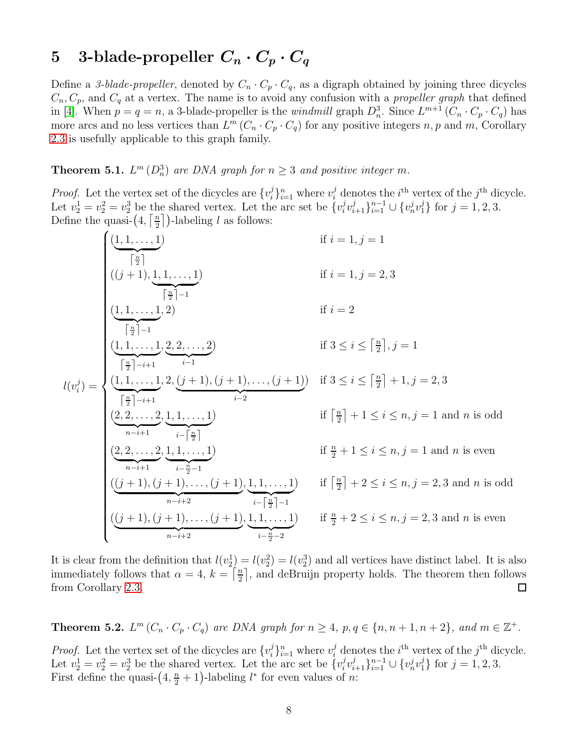# 5 3-blade-propeller  $C_n \cdot C_p \cdot C_q$

Define a 3-blade-propeller, denoted by  $C_n \cdot C_p \cdot C_q$ , as a digraph obtained by joining three dicycles  $C_n, C_p$ , and  $C_q$  at a vertex. The name is to avoid any confusion with a *propeller graph* that defined in [\[4\]](#page-9-6). When  $p = q = n$ , a 3-blade-propeller is the *windmill* graph  $D_n^3$ . Since  $L^{m+1}(C_n \cdot C_p \cdot C_q)$  has more arcs and no less vertices than  $L^m(C_n \cdot C_p \cdot C_q)$  for any positive integers n, p and m, Corollary [2.3](#page-1-1) is usefully applicable to this graph family.

<span id="page-7-0"></span>**Theorem 5.1.**  $L^m(D_n^3)$  are DNA graph for  $n \geq 3$  and positive integer m.

*Proof.* Let the vertex set of the dicycles are  $\{v_i^j\}$  $i_{i}^{j}$ <sub>i</sub> $_{i=1}^{n}$  where  $v_{i}^{j}$  denotes the *i*<sup>th</sup> vertex of the *j*<sup>th</sup> dicycle. Let  $v_2^1 = v_2^2 = v_2^3$  be the shared vertex. Let the arc set be  $\{v_i^j\}$  $\{v_{i+1}^j\}_{i=1}^{n-1} \cup \{v_n^j v_1^j\}$  for  $j=1,2,3$ . Define the quasi- $\left(4,\left\lceil \frac{n}{2}\right\rceil\right)$  $\frac{n}{2}$ ])-labeling l as follows:

$$
l(v_i^j) = \begin{cases}\n\underbrace{(1,1,\ldots,1)}_{\begin{subarray}{l}i\neq j\\j\neq j\end{subarray}} & \text{if } i = 1, j = 1 \\
\underbrace{(1,1,\ldots,1,2)}_{\begin{subarray}{l}i\neq j-1\\j\neq j\end{subarray}} & \text{if } i = 1, j = 2, 3 \\
\underbrace{(1,1,\ldots,1,2)}_{\begin{subarray}{l}i\neq j-1\\j\neq j\end{subarray}} & \text{if } i = 2 \\
\underbrace{(1,1,\ldots,1,2)}_{\begin{subarray}{l}i\neq j-i+1\\j\neq j\end{subarray}} & \text{if } 3 \leq i \leq \left\lceil\frac{n}{2}\right\rceil, j = 1 \\
\underbrace{l(1,1,\ldots,1,2,2,j,\ldots,2)}_{\begin{subarray}{l}i\neq j-i+1\\j\neq j\end{subarray}} & \text{if } 3 \leq i \leq \left\lceil\frac{n}{2}\right\rceil + 1, j = 2, 3 \\
\underbrace{(2,2,\ldots,2,1,1,\ldots,1)}_{n-i+1} & \underbrace{i-\left\lceil\frac{n}{2}\right\rceil} & \text{if } \left\lceil\frac{n}{2}\right\rceil + 1 \leq i \leq n, j = 1 \text{ and } n \text{ is odd} \\
\underbrace{(2,2,\ldots,2,1,1,\ldots,1)}_{n-i+1} & \underbrace{i-\left\lceil\frac{n}{2}\right\rceil - 1} & \text{if } \left\lceil\frac{n}{2}\right\rceil + 2 \leq i \leq n, j = 1 \text{ and } n \text{ is even} \\
\underbrace{((j+1),(j+1),\ldots,(j+1),1,1,\ldots,1)}_{n-i+2} & \text{if } \left\lceil\frac{n}{2}\right\rceil - 2} & \text{if } \left\lceil\frac{n}{2}\right\rceil + 2 \leq i \leq n, j = 2, 3 \text{ and } n \text{ is odd} \\
\underbrace{(j+1),(j+1),\ldots,(j+1),1,1,\ldots,1)}_{n-i+2} & \text{if } \left\lceil\frac{n}{2}\right\rceil - 2} & \text{if } \left\lceil\frac{n}{2}\right\rceil + 2 \leq i \leq n, j =
$$

It is clear from the definition that  $l(v_2^1) = l(v_2^2) = l(v_2^3)$  and all vertices have distinct label. It is also immediately follows that  $\alpha = 4, k = \lceil \frac{n}{2} \rceil$  $\frac{n}{2}$ , and deBruijn property holds. The theorem then follows from Corollary [2.3.](#page-1-1)  $\Box$ 

<span id="page-7-1"></span>**Theorem 5.2.**  $L^m(C_n \cdot C_p \cdot C_q)$  are DNA graph for  $n \geq 4$ ,  $p, q \in \{n, n+1, n+2\}$ , and  $m \in \mathbb{Z}^+$ .

*Proof.* Let the vertex set of the dicycles are  $\{v_i^j\}$  $i_{i}^{j}$ <sub>i</sub> $_{i=1}^{n}$  where  $v_{i}^{j}$  denotes the *i*<sup>th</sup> vertex of the *j*<sup>th</sup> dicycle. Let  $v_2^1 = v_2^2 = v_2^3$  be the shared vertex. Let the arc set be  $\{v_i^j\}$  $\{v_{i+1}^j\}_{i=1}^{n-1} \cup \{v_n^j v_1^j\}$  for  $j = 1, 2, 3$ . First define the quasi- $(4, \frac{n}{2} + 1)$ -labeling  $l^*$  for even values of *n*: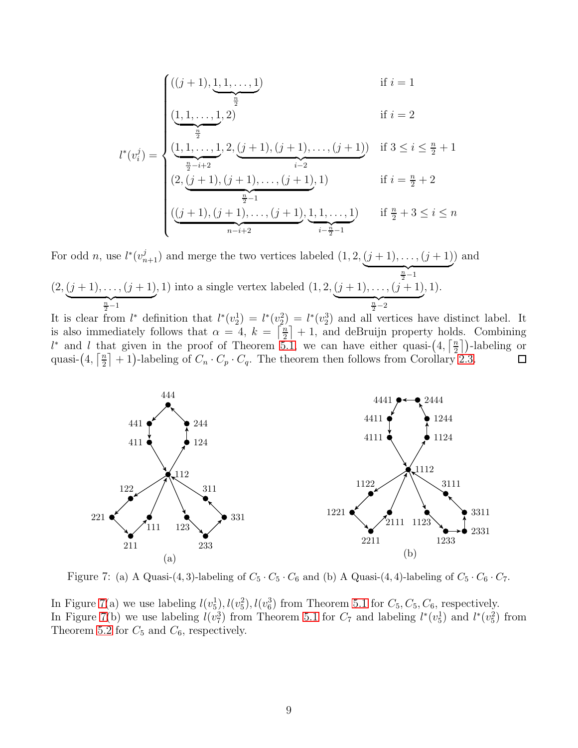$$
l^*(v_i^j) = \begin{cases} ((j+1), \underbrace{1, 1, \ldots, 1}_{\frac{n}{2}}) & \text{if } i = 1 \\ \underbrace{(1, 1, \ldots, 1, 2)}_{\frac{n}{2} - i + 2}, \underbrace{(j+1), (j+1), \ldots, (j+1)}_{i-2} & \text{if } 3 \le i \le \frac{n}{2} + 1 \\ (2, \underbrace{(j+1), (j+1), \ldots, (j+1)}_{\frac{n}{2} - 1}, 1) & \text{if } i = \frac{n}{2} + 2 \\ (\underbrace{(j+1), (j+1), \ldots, (j+1)}_{n-i+2}, \underbrace{1, 1, \ldots, 1}_{i - \frac{n}{2} - 1}) & \text{if } \frac{n}{2} + 3 \le i \le n \end{cases}
$$

For odd *n*, use  $l^*(v_{n+1}^j)$  and merge the two vertices labeled  $(1, 2, (j + 1), \ldots, (j + 1)$  $\frac{n}{2}-1$ ) and  $(2,(j+1),\ldots,(j+1))$  $\frac{n}{2}-1$  $(1, 1)$  into a single vertex labeled  $(1, 2, (j + 1), \ldots, (j + 1))$  $\frac{n}{2}-2$ , 1).

It is clear from  $l^*$  definition that  $l^*(v_2^1) = l^*(v_2^2) = l^*(v_2^3)$  and all vertices have distinct label. It is also immediately follows that  $\alpha = 4, k = \lceil \frac{n}{2} \rceil$  $\left\lfloor \frac{n}{2} \right\rfloor + 1$ , and deBruijn property holds. Combining l<sup>\*</sup> and l that given in the proof of Theorem [5.1,](#page-7-0) we can have either quasi- $\left(4,\frac{7}{2}\right)$  $\frac{n}{2}$ ])-labeling or quasi- $\left(4,\left\lceil \frac{n}{2}\right\rceil\right)$  $\frac{n}{2}$  + 1)-labeling of  $C_n \cdot C_p \cdot C_q$ . The theorem then follows from Corollary [2.3.](#page-1-1)  $\Box$ 

<span id="page-8-0"></span>

Figure 7: (a) A Quasi-(4, 3)-labeling of  $C_5 \cdot C_5 \cdot C_6$  and (b) A Quasi-(4, 4)-labeling of  $C_5 \cdot C_6 \cdot C_7$ .

In Figure [7\(](#page-8-0)a) we use labeling  $l(v_5^1), l(v_5^2), l(v_6^3)$  from Theorem [5.1](#page-7-0) for  $C_5, C_5, C_6$ , respectively. In Figure [7\(](#page-8-0)b) we use labeling  $l(v_7^3)$  from Theorem [5.1](#page-7-0) for  $C_7$  and labeling  $l^*(v_5^1)$  and  $l^*(v_5^2)$  from Theorem [5.2](#page-7-1) for  $C_5$  and  $C_6$ , respectively.